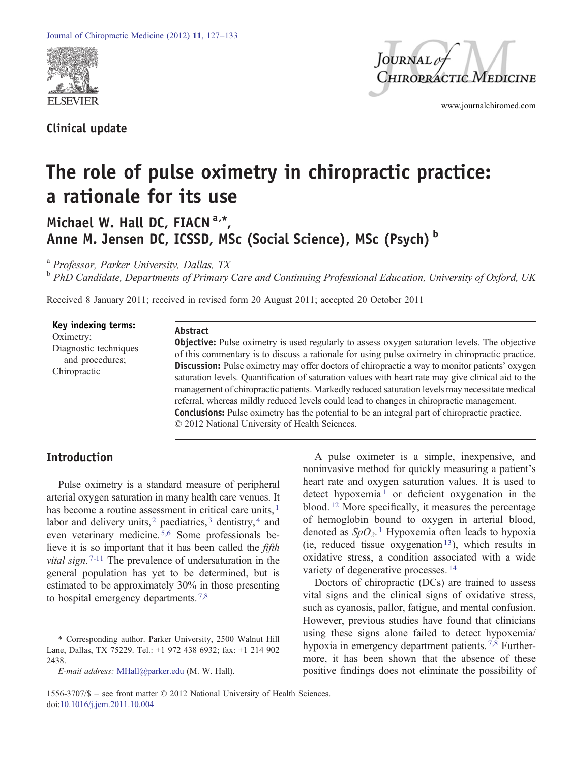

Clinical update



www.journalchiromed.com

# The role of pulse oximetry in chiropractic practice: a rationale for its use

Michael W. Hall DC, FIACN<sup>a,\*</sup>, Anne M. Jensen DC, ICSSD, MSc (Social Science), MSc (Psych) b

<sup>a</sup> Professor, Parker University, Dallas, TX

<sup>b</sup> PhD Candidate, Departments of Primary Care and Continuing Professional Education, University of Oxford, UK

Received 8 January 2011; received in revised form 20 August 2011; accepted 20 October 2011

Key indexing terms: Oximetry; Diagnostic techniques and procedures; Chiropractic

#### Abstract

**Objective:** Pulse oximetry is used regularly to assess oxygen saturation levels. The objective of this commentary is to discuss a rationale for using pulse oximetry in chiropractic practice. **Discussion:** Pulse oximetry may offer doctors of chiropractic a way to monitor patients' oxygen saturation levels. Quantification of saturation values with heart rate may give clinical aid to the management of chiropractic patients. Markedly reduced saturation levels may necessitate medical referral, whereas mildly reduced levels could lead to changes in chiropractic management. **Conclusions:** Pulse oximetry has the potential to be an integral part of chiropractic practice. © 2012 National University of Health Sciences.

# Introduction

Pulse oximetry is a standard measure of peripheral arterial oxygen saturation in many health care venues. It has become a routine assessment in critical care units[,](#page-4-0) <sup>[1](#page-4-0)</sup> labor and delivery units[,](#page-4-0)  $2$  paediatrics,  $3$  dentistry,  $4$  and even veterinary medicine[.](#page-4-0) [5,6](#page-4-0) Some professionals believe it is so important that it has been called the fifth *vital sign[.](#page-4-0)*  $7-11$  The prevalence of undersaturation in the general population has yet to be determined, but is estimated to be approximately 30% in those presenting to hospital emergency departments[.](#page-4-0) [7,8](#page-4-0)

A pulse oximeter is a simple, inexpensive, and noninvasive method for quickly measuring a patient's heart rate and oxygen saturation values. It is used to detect hypoxemi[a](#page-4-0)<sup>[1](#page-4-0)</sup> or deficient oxygenation in the blood[.](#page-4-0) [12](#page-4-0) More specifically, it measures the percentage of hemoglobin bound to oxygen in arterial blood, denoted as  $SpO<sub>2</sub>$ [.](#page-4-0)<sup>[1](#page-4-0)</sup> Hypoxemia often leads to hypoxia (ie, reduced tissue oxyge[n](#page-5-0)ation<sup>[13](#page-5-0)</sup>), which results in oxidative stress, a condition associated with a wide variety of degenerative processes[.](#page-5-0) [14](#page-5-0)

Doctors of chiropractic (DCs) are trained to assess vital signs and the clinical signs of oxidative stress, such as cyanosis, pallor, fatigue, and mental confusion. However, previous studies have found that clinicians using these signs alone failed to detect hypoxemia/ hypoxia in emergency department patients[.](#page-4-0) [7,8](#page-4-0) Furthermore, it has been shown that the absence of these positive findings does not eliminate the possibility of

<sup>⁎</sup> Corresponding author. Parker University, 2500 Walnut Hill Lane, Dallas, TX 75229. Tel.: +1 972 438 6932; fax: +1 214 902 2438.

E-mail address: [MHall@parker.edu](mailto:MHall@parker.edu) (M. W. Hall).

<sup>1556-3707/\$</sup> – see front matter © 2012 National University of Health Sciences. doi:[10.1016/j.jcm.2011.10.004](http://dx.doi.org/10.1016/j.jcm.2011.10.004)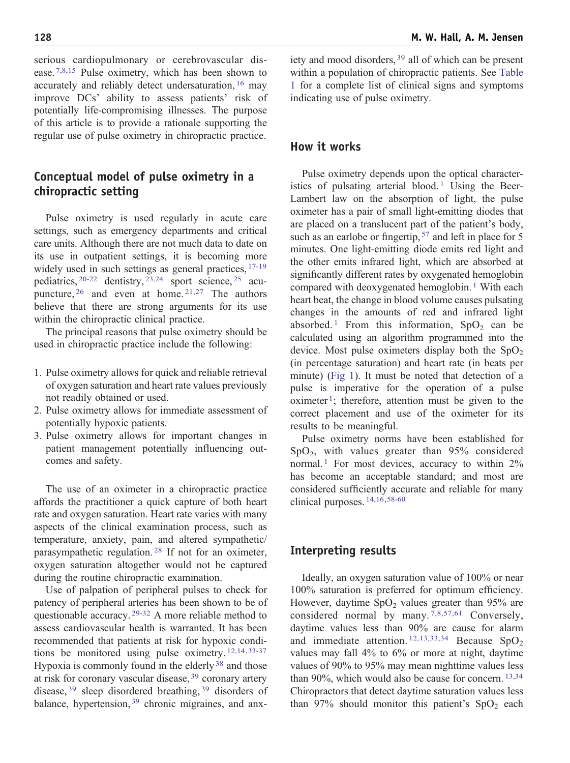serious cardiopulmonary or cerebrovascular disease[.](#page-4-0) [7,8,15](#page-4-0) Pulse oximetry, which has been shown to accurately and reliably detect undersaturation[,](#page-5-0) [16](#page-5-0) may improve DCs' ability to assess patients' risk of potentially life-compromising illnesses. The purpose of this article is to provide a rationale supporting the regular use of pulse oximetry in chiropractic practice.

# Conceptual model of pulse oximetry in a chiropractic setting

Pulse oximetry is used regularly in acute care settings, such as emergency departments and critical care units. Although there are not much data to date on its use in outpatient settings, it is becoming more widely used in such settings as general practices[,](#page-5-0)  $17-19$ pediatrics[,](#page-5-0) [20-22](#page-5-0) dentistry[,](#page-5-0) [23,24](#page-5-0) sport science[,](#page-5-0) [25](#page-5-0) acu-puncture[,](#page-5-0)  $26$  and even at home[.](#page-5-0)  $21,27$  The authors believe that there are strong arguments for its use within the chiropractic clinical practice.

The principal reasons that pulse oximetry should be used in chiropractic practice include the following:

- 1. Pulse oximetry allows for quick and reliable retrieval of oxygen saturation and heart rate values previously not readily obtained or used.
- 2. Pulse oximetry allows for immediate assessment of potentially hypoxic patients.
- 3. Pulse oximetry allows for important changes in patient management potentially influencing outcomes and safety.

The use of an oximeter in a chiropractic practice affords the practitioner a quick capture of both heart rate and oxygen saturation. Heart rate varies with many aspects of the clinical examination process, such as temperature, anxiety, pain, and altered sympathetic/ parasympathetic regulation[.](#page-5-0) [28](#page-5-0) If not for an oximeter, oxygen saturation altogether would not be captured during the routine chiropractic examination.

Use of palpation of peripheral pulses to check for patency of peripheral arteries has been shown to be of questionable accuracy[.](#page-5-0)<sup>[29-32](#page-5-0)</sup> A more reliable method to assess cardiovascular health is warranted. It has been recommended that patients at risk for hypoxic conditions be monitored using pulse oximetry[.](#page-4-0) [12,14](#page-4-0)[,33-37](#page-5-0) H[y](#page-5-0)poxia is commonly found in the elderly<sup>[38](#page-5-0)</sup> and those at risk for coronary vascular disease[,](#page-5-0) [39](#page-5-0) coronary artery disease[,](#page-5-0) [39](#page-5-0) sleep disordered breathing[,](#page-5-0) [39](#page-5-0) disorders of balance[,](#page-5-0) hypertension,<sup>[39](#page-5-0)</sup> chronic migraines, and anxiety and mood disorders[,](#page-5-0) [39](#page-5-0) all of which can be present within a population of chiropractic patients. See [Table](#page-2-0) [1](#page-2-0) for a complete list of clinical signs and symptoms indicating use of pulse oximetry.

## How it works

Pulse oximetry depends upon the optical character-istics of pulsating arterial blood[.](#page-4-0)<sup>[1](#page-4-0)</sup> Using the Beer-Lambert law on the absorption of light, the pulse oximeter has a pair of small light-emitting diodes that are placed on a translucent part of the patient's body, such as an earlobe or fingertip[,](#page-6-0)  $57$  and left in place for 5 minutes. One light-emitting diode emits red light and the other emits infrared light, which are absorbed at significantly different rates by oxygenated hemoglobin compared with deoxygenated hemoglobin.<sup>[1](#page-4-0)</sup> With each heart beat, the change in blood volume causes pulsating changes in the amounts of red and infrared light absorbed[.](#page-4-0)<sup>[1](#page-4-0)</sup> From this information,  $SpO<sub>2</sub>$  can be calculated using an algorithm programmed into the device. Most pulse oximeters display both the  $SpO<sub>2</sub>$ (in percentage saturation) and heart rate (in beats per minute) ([Fig 1\)](#page-2-0). It must be noted that detection of a pulse is imperative for the operation of a pulse oximete[r](#page-4-0)<sup>[1](#page-4-0)</sup>; therefore, attention must be given to the correct placement and use of the oximeter for its results to be meaningful.

Pulse oximetry norms have been established for SpO2, with values greater than 95% considered normal[.](#page-4-0)<sup>[1](#page-4-0)</sup> For most devices, accuracy to within  $2\%$ has become an acceptable standard; and most are considered sufficiently accurate and reliable for many clinical purposes[.](#page-5-0) [14,16](#page-5-0)[,58-60](#page-6-0)

## Interpreting results

Ideally, an oxygen saturation value of 100% or near 100% saturation is preferred for optimum efficiency. However, daytime  $SpO<sub>2</sub>$  values greater than 95% are considered normal by many[.](#page-4-0) [7,8,57,61](#page-4-0) Conversely, daytime values less than 90% are cause for alarm and immediate attention[.](#page-4-0)  $12, 13, 33, 34$  Because SpO<sub>2</sub> values may fall 4% to 6% or more at night, daytime values of 90% to 95% may mean nighttime values less than 90%, which would also be cause for concern. [13,34](#page-5-0) Chiropractors that detect daytime saturation values less than 97% should monitor this patient's  $SpO<sub>2</sub>$  each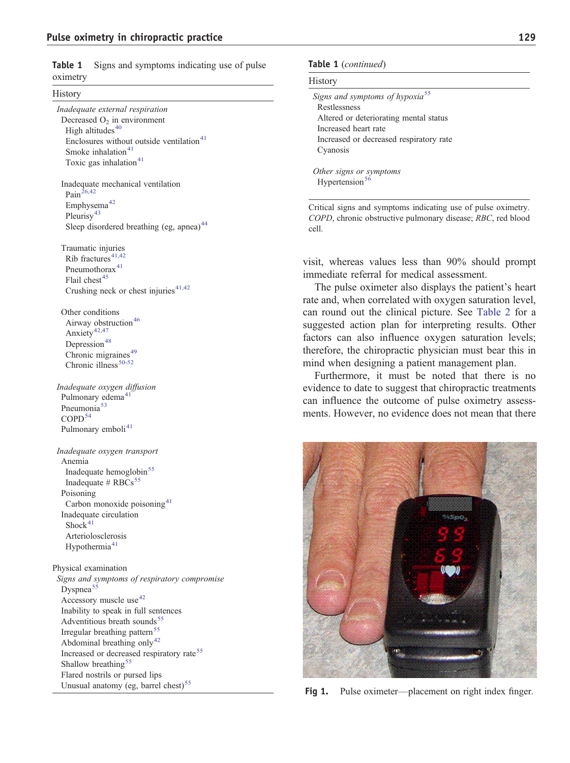<span id="page-2-0"></span>**Table 1** Signs and symptoms indicating use of pulse oximetry

Unusual anatomy (eg, barrel chest[\)](#page-6-0) $55$ 

#### Table 1 (continued)

| ÷ |
|---|
|---|

Signs [a](#page-6-0)nd symptoms of hypoxia<sup>[55](#page-6-0)</sup> Restlessness Altered or deteriorating mental status Increased heart rate Increased or decreased respiratory rate Cyanosis

Other signs or symptoms Hyperte[n](#page-6-0)sion<sup>[56](#page-6-0)</sup>

Critical signs and symptoms indicating use of pulse oximetry. COPD, chronic obstructive pulmonary disease; RBC, red blood cell.

visit, whereas values less than 90% should prompt immediate referral for medical assessment.

The pulse oximeter also displays the patient's heart rate and, when correlated with oxygen saturation level, can round out the clinical picture. See [Table 2](#page-3-0) for a suggested action plan for interpreting results. Other factors can also influence oxygen saturation levels; therefore, the chiropractic physician must bear this in mind when designing a patient management plan.

Furthermore, it must be noted that there is no evidence to date to suggest that chiropractic treatments can influence the outcome of pulse oximetry assessments. However, no evidence does not mean that there



Fig 1. Pulse oximeter—placement on right index finger.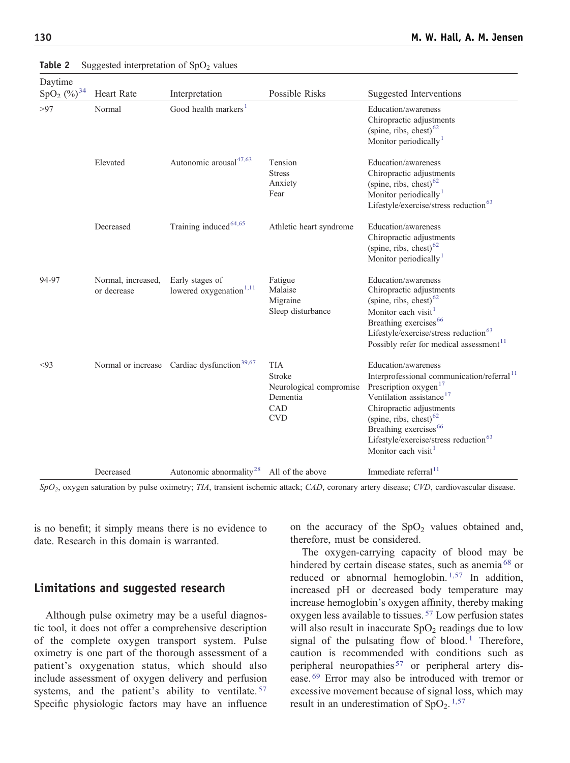| Daytime<br>$SpO2$ (%) <sup>34</sup> | Heart Rate                        | Interpretation                                          | Possible Risks                                                                          | Suggested Interventions                                                                                                                                                                                                                                                                                                                          |
|-------------------------------------|-----------------------------------|---------------------------------------------------------|-----------------------------------------------------------------------------------------|--------------------------------------------------------------------------------------------------------------------------------------------------------------------------------------------------------------------------------------------------------------------------------------------------------------------------------------------------|
| >97                                 | Normal                            | Good health markers <sup>1</sup>                        |                                                                                         | Education/awareness<br>Chiropractic adjustments<br>(spine, ribs, chest) $62$<br>Monitor periodically <sup>1</sup>                                                                                                                                                                                                                                |
|                                     | Elevated                          | Autonomic arousal <sup>47,63</sup>                      | Tension<br><b>Stress</b><br>Anxiety<br>Fear                                             | Education/awareness<br>Chiropractic adjustments<br>(spine, ribs, chest) $62$<br>Monitor periodically <sup>1</sup><br>Lifestyle/exercise/stress reduction <sup>63</sup>                                                                                                                                                                           |
|                                     | Decreased                         | Training induced <sup>64,65</sup>                       | Athletic heart syndrome                                                                 | Education/awareness<br>Chiropractic adjustments<br>(spine, ribs, chest) $62$<br>Monitor periodically <sup>1</sup>                                                                                                                                                                                                                                |
| 94-97                               | Normal, increased,<br>or decrease | Early stages of<br>lowered oxygenation <sup>1,11</sup>  | Fatigue<br>Malaise<br>Migraine<br>Sleep disturbance                                     | Education/awareness<br>Chiropractic adjustments<br>(spine, ribs, chest) $62$<br>Monitor each visit <sup>1</sup><br>Breathing exercises <sup>66</sup><br>Lifestyle/exercise/stress reduction <sup>63</sup><br>Possibly refer for medical assessment <sup>11</sup>                                                                                 |
| < 93                                |                                   | Normal or increase Cardiac dysfunction <sup>39,67</sup> | <b>TIA</b><br><b>Stroke</b><br>Neurological compromise<br>Dementia<br>CAD<br><b>CVD</b> | Education/awareness<br>Interprofessional communication/referral <sup>11</sup><br>Prescription oxygen <sup>17</sup><br>Ventilation assistance <sup>17</sup><br>Chiropractic adjustments<br>(spine, ribs, chest) $62$<br>Breathing exercises <sup>66</sup><br>Lifestyle/exercise/stress reduction <sup>63</sup><br>Monitor each visit <sup>1</sup> |
|                                     | Decreased                         | Autonomic abnormality <sup>28</sup>                     | All of the above                                                                        | Immediate referral <sup>11</sup>                                                                                                                                                                                                                                                                                                                 |

<span id="page-3-0"></span>**Table 2** Suggested interpretation of  $SpO<sub>2</sub>$  values

SpO2, oxygen saturation by pulse oximetry; TIA, transient ischemic attack; CAD, coronary artery disease; CVD, cardiovascular disease.

is no benefit; it simply means there is no evidence to date. Research in this domain is warranted.

## Limitations and suggested research

Although pulse oximetry may be a useful diagnostic tool, it does not offer a comprehensive description of the complete oxygen transport system. Pulse oximetry is one part of the thorough assessment of a patient's oxygenation status, which should also include assessment of oxygen delivery and perfusion systems, and the patient's ability to ventilate[.](#page-6-0)<sup>[57](#page-6-0)</sup> Specific physiologic factors may have an influence on the accuracy of the  $SpO<sub>2</sub>$  values obtained and, therefore, must be considered.

The oxygen-carrying capacity of blood may be hindered by cert[a](#page-6-0)in disease states, such as anemia<sup>[68](#page-6-0)</sup> or reduced or abnormal hemoglobin[.](#page-4-0)<sup>[1,57](#page-4-0)</sup> In addition, increased pH or decreased body temperature may increase hemoglobin's oxygen affinity, thereby making oxygen less available to tissues[.](#page-6-0) [57](#page-6-0) Low perfusion states will also result in inaccurate  $SpO<sub>2</sub>$  readings due to low signal of the pulsating flow of blood[.](#page-4-0)<sup>[1](#page-4-0)</sup> Therefore, caution is recommended with conditions such as peripheral neuropathie[s](#page-6-0) [57](#page-6-0) or peripheral artery disease[.](#page-6-0) [69](#page-6-0) Error may also be introduced with tremor or excessive movement because of signal loss, which may result in an underestimation of  $SpO<sub>2</sub>$ [.](#page-4-0) [1,57](#page-4-0)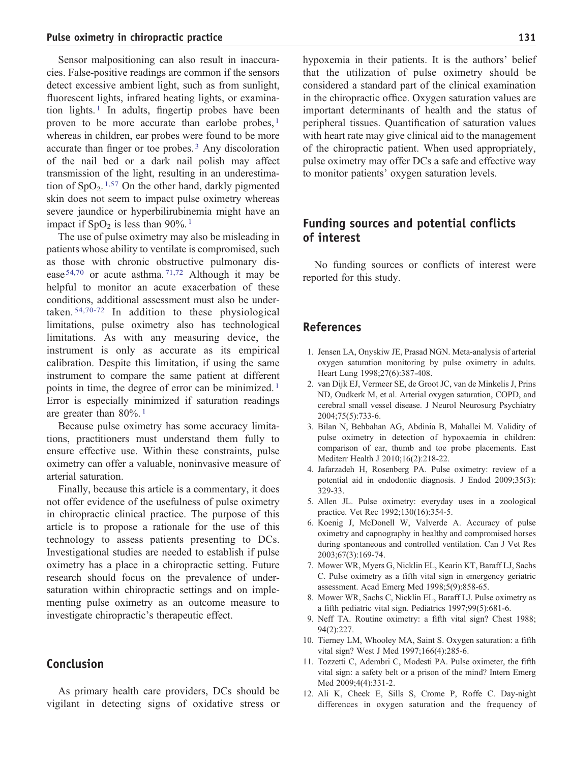<span id="page-4-0"></span>Sensor malpositioning can also result in inaccuracies. False-positive readings are common if the sensors detect excessive ambient light, such as from sunlight, fluorescent lights, infrared heating lights, or examination lights.<sup>1</sup> In adults, fingertip probes have been proven to be more accurate than earlobe probes, <sup>1</sup> whereas in children, ear probes were found to be more accurate than finger or toe probes. <sup>3</sup> Any discoloration of the nail bed or a dark nail polish may affect transmission of the light, resulting in an underestimation of  $SpO<sub>2</sub>$ . 1,57 On the other hand, darkly pigmented skin does not seem to impact pulse oximetry whereas severe jaundice or hyperbilirubinemia might have an impact if  $SpO<sub>2</sub>$  is less than 90%.<sup>1</sup>

The use of pulse oximetry may also be misleading in patients whose ability to ventilate is compromised, such as those with chronic obstructive pulmonary dis[e](#page-6-0)ase  $54,70$  or acute asthma[.](#page-6-0)  $71,72$  Although it may be helpful to monitor an acute exacerbation of these conditions, additional assessment must also be undertaken[.](#page-6-0) [54,70-72](#page-6-0) In addition to these physiological limitations, pulse oximetry also has technological limitations. As with any measuring device, the instrument is only as accurate as its empirical calibration. Despite this limitation, if using the same instrument to compare the same patient at different points in time, the degree of error can be minimized. <sup>1</sup> Error is especially minimized if saturation readings are greater than 80%. <sup>1</sup>

Because pulse oximetry has some accuracy limitations, practitioners must understand them fully to ensure effective use. Within these constraints, pulse oximetry can offer a valuable, noninvasive measure of arterial saturation.

Finally, because this article is a commentary, it does not offer evidence of the usefulness of pulse oximetry in chiropractic clinical practice. The purpose of this article is to propose a rationale for the use of this technology to assess patients presenting to DCs. Investigational studies are needed to establish if pulse oximetry has a place in a chiropractic setting. Future research should focus on the prevalence of undersaturation within chiropractic settings and on implementing pulse oximetry as an outcome measure to investigate chiropractic's therapeutic effect.

## Conclusion

As primary health care providers, DCs should be vigilant in detecting signs of oxidative stress or hypoxemia in their patients. It is the authors' belief that the utilization of pulse oximetry should be considered a standard part of the clinical examination in the chiropractic office. Oxygen saturation values are important determinants of health and the status of peripheral tissues. Quantification of saturation values with heart rate may give clinical aid to the management of the chiropractic patient. When used appropriately, pulse oximetry may offer DCs a safe and effective way to monitor patients' oxygen saturation levels.

# Funding sources and potential conflicts of interest

No funding sources or conflicts of interest were reported for this study.

## References

- 1. Jensen LA, Onyskiw JE, Prasad NGN. Meta-analysis of arterial oxygen saturation monitoring by pulse oximetry in adults. Heart Lung 1998;27(6):387-408.
- 2. van Dijk EJ, Vermeer SE, de Groot JC, van de Minkelis J, Prins ND, Oudkerk M, et al. Arterial oxygen saturation, COPD, and cerebral small vessel disease. J Neurol Neurosurg Psychiatry 2004;75(5):733-6.
- 3. Bilan N, Behbahan AG, Abdinia B, Mahallei M. Validity of pulse oximetry in detection of hypoxaemia in children: comparison of ear, thumb and toe probe placements. East Mediterr Health J 2010;16(2):218-22.
- 4. Jafarzadeh H, Rosenberg PA. Pulse oximetry: review of a potential aid in endodontic diagnosis. J Endod 2009;35(3): 329-33.
- 5. Allen JL. Pulse oximetry: everyday uses in a zoological practice. Vet Rec 1992;130(16):354-5.
- 6. Koenig J, McDonell W, Valverde A. Accuracy of pulse oximetry and capnography in healthy and compromised horses during spontaneous and controlled ventilation. Can J Vet Res 2003;67(3):169-74.
- 7. Mower WR, Myers G, Nicklin EL, Kearin KT, Baraff LJ, Sachs C. Pulse oximetry as a fifth vital sign in emergency geriatric assessment. Acad Emerg Med 1998;5(9):858-65.
- 8. Mower WR, Sachs C, Nicklin EL, Baraff LJ. Pulse oximetry as a fifth pediatric vital sign. Pediatrics 1997;99(5):681-6.
- 9. Neff TA. Routine oximetry: a fifth vital sign? Chest 1988; 94(2):227.
- 10. Tierney LM, Whooley MA, Saint S. Oxygen saturation: a fifth vital sign? West J Med 1997;166(4):285-6.
- 11. Tozzetti C, Adembri C, Modesti PA. Pulse oximeter, the fifth vital sign: a safety belt or a prison of the mind? Intern Emerg Med 2009;4(4):331-2.
- 12. Ali K, Cheek E, Sills S, Crome P, Roffe C. Day-night differences in oxygen saturation and the frequency of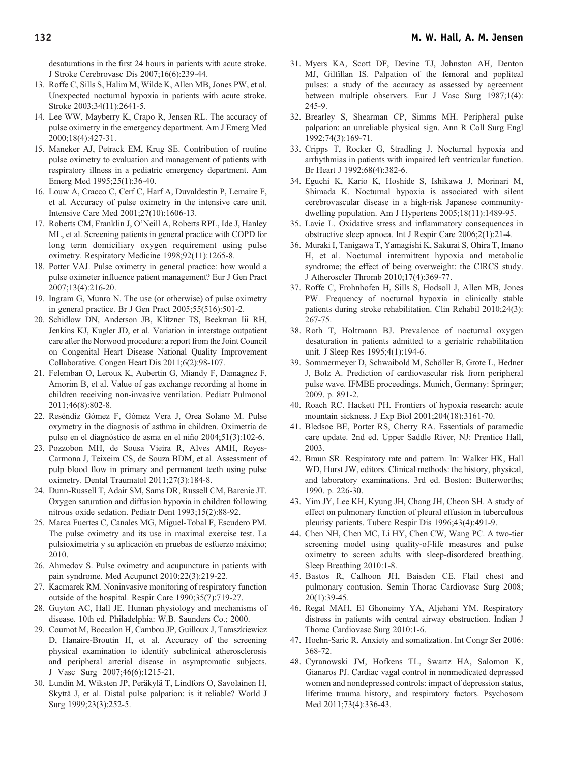<span id="page-5-0"></span>desaturations in the first 24 hours in patients with acute stroke. J Stroke Cerebrovasc Dis 2007;16(6):239-44.

- 13. Roffe C, Sills S, Halim M, Wilde K, Allen MB, Jones PW, et al. Unexpected nocturnal hypoxia in patients with acute stroke. Stroke 2003;34(11):2641-5.
- 14. Lee WW, Mayberry K, Crapo R, Jensen RL. The accuracy of pulse oximetry in the emergency department. Am J Emerg Med 2000;18(4):427-31.
- 15. Maneker AJ, Petrack EM, Krug SE. Contribution of routine pulse oximetry to evaluation and management of patients with respiratory illness in a pediatric emergency department. Ann Emerg Med 1995;25(1):36-40.
- 16. Louw A, Cracco C, Cerf C, Harf A, Duvaldestin P, Lemaire F, et al. Accuracy of pulse oximetry in the intensive care unit. Intensive Care Med 2001;27(10):1606-13.
- 17. Roberts CM, Franklin J, O'Neill A, Roberts RPL, Ide J, Hanley ML, et al. Screening patients in general practice with COPD for long term domiciliary oxygen requirement using pulse oximetry. Respiratory Medicine 1998;92(11):1265-8.
- 18. Potter VAJ. Pulse oximetry in general practice: how would a pulse oximeter influence patient management? Eur J Gen Pract 2007;13(4):216-20.
- 19. Ingram G, Munro N. The use (or otherwise) of pulse oximetry in general practice. Br J Gen Pract 2005;55(516):501-2.
- 20. Schidlow DN, Anderson JB, Klitzner TS, Beekman Iii RH, Jenkins KJ, Kugler JD, et al. Variation in interstage outpatient care after the Norwood procedure: a report from the Joint Council on Congenital Heart Disease National Quality Improvement Collaborative. Congen Heart Dis 2011;6(2):98-107.
- 21. Felemban O, Leroux K, Aubertin G, Miandy F, Damagnez F, Amorim B, et al. Value of gas exchange recording at home in children receiving non-invasive ventilation. Pediatr Pulmonol 2011;46(8):802-8.
- 22. Reséndiz Gómez F, Gómez Vera J, Orea Solano M. Pulse oxymetry in the diagnosis of asthma in children. Oximetría de pulso en el diagnóstico de asma en el niño 2004;51(3):102-6.
- 23. Pozzobon MH, de Sousa Vieira R, Alves AMH, Reyes-Carmona J, Teixeira CS, de Souza BDM, et al. Assessment of pulp blood flow in primary and permanent teeth using pulse oximetry. Dental Traumatol 2011;27(3):184-8.
- 24. Dunn-Russell T, Adair SM, Sams DR, Russell CM, Barenie JT. Oxygen saturation and diffusion hypoxia in children following nitrous oxide sedation. Pediatr Dent 1993;15(2):88-92.
- 25. Marca Fuertes C, Canales MG, Miguel-Tobal F, Escudero PM. The pulse oximetry and its use in maximal exercise test. La pulsioximetría y su aplicación en pruebas de esfuerzo máximo; 2010.
- 26. Ahmedov S. Pulse oximetry and acupuncture in patients with pain syndrome. Med Acupunct 2010;22(3):219-22.
- 27. Kacmarek RM. Noninvasive monitoring of respiratory function outside of the hospital. Respir Care 1990;35(7):719-27.
- 28. Guyton AC, Hall JE. Human physiology and mechanisms of disease. 10th ed. Philadelphia: W.B. Saunders Co.; 2000.
- 29. Cournot M, Boccalon H, Cambou JP, Guilloux J, Taraszkiewicz D, Hanaire-Broutin H, et al. Accuracy of the screening physical examination to identify subclinical atherosclerosis and peripheral arterial disease in asymptomatic subjects. J Vasc Surg 2007;46(6):1215-21.
- 30. Lundin M, Wiksten JP, Peräkylä T, Lindfors O, Savolainen H, Skyttä J, et al. Distal pulse palpation: is it reliable? World J Surg 1999;23(3):252-5.
- 31. Myers KA, Scott DF, Devine TJ, Johnston AH, Denton MJ, Gilfillan IS. Palpation of the femoral and popliteal pulses: a study of the accuracy as assessed by agreement between multiple observers. Eur J Vasc Surg 1987;1(4): 245-9.
- 32. Brearley S, Shearman CP, Simms MH. Peripheral pulse palpation: an unreliable physical sign. Ann R Coll Surg Engl 1992;74(3):169-71.
- 33. Cripps T, Rocker G, Stradling J. Nocturnal hypoxia and arrhythmias in patients with impaired left ventricular function. Br Heart J 1992;68(4):382-6.
- 34. Eguchi K, Kario K, Hoshide S, Ishikawa J, Morinari M, Shimada K. Nocturnal hypoxia is associated with silent cerebrovascular disease in a high-risk Japanese communitydwelling population. Am J Hypertens 2005;18(11):1489-95.
- 35. Lavie L. Oxidative stress and inflammatory consequences in obstructive sleep apnoea. Int J Respir Care 2006;2(1):21-4.
- 36. Muraki I, Tanigawa T, Yamagishi K, Sakurai S, Ohira T, Imano H, et al. Nocturnal intermittent hypoxia and metabolic syndrome; the effect of being overweight: the CIRCS study. J Atheroscler Thromb 2010;17(4):369-77.
- 37. Roffe C, Frohnhofen H, Sills S, Hodsoll J, Allen MB, Jones PW. Frequency of nocturnal hypoxia in clinically stable patients during stroke rehabilitation. Clin Rehabil 2010;24(3): 267-75.
- 38. Roth T, Holtmann BJ. Prevalence of nocturnal oxygen desaturation in patients admitted to a geriatric rehabilitation unit. J Sleep Res 1995;4(1):194-6.
- 39. Sommermeyer D, Schwaibold M, Schöller B, Grote L, Hedner J, Bolz A. Prediction of cardiovascular risk from peripheral pulse wave. IFMBE proceedings. Munich, Germany: Springer; 2009. p. 891-2.
- 40. Roach RC. Hackett PH. Frontiers of hypoxia research: acute mountain sickness. J Exp Biol 2001;204(18):3161-70.
- 41. Bledsoe BE, Porter RS, Cherry RA. Essentials of paramedic care update. 2nd ed. Upper Saddle River, NJ: Prentice Hall, 2003.
- 42. Braun SR. Respiratory rate and pattern. In: Walker HK, Hall WD, Hurst JW, editors. Clinical methods: the history, physical, and laboratory examinations. 3rd ed. Boston: Butterworths; 1990. p. 226-30.
- 43. Yim JY, Lee KH, Kyung JH, Chang JH, Cheon SH. A study of effect on pulmonary function of pleural effusion in tuberculous pleurisy patients. Tuberc Respir Dis 1996;43(4):491-9.
- 44. Chen NH, Chen MC, Li HY, Chen CW, Wang PC. A two-tier screening model using quality-of-life measures and pulse oximetry to screen adults with sleep-disordered breathing. Sleep Breathing 2010:1-8.
- 45. Bastos R, Calhoon JH, Baisden CE. Flail chest and pulmonary contusion. Semin Thorac Cardiovasc Surg 2008; 20(1):39-45.
- 46. Regal MAH, El Ghoneimy YA, Aljehani YM. Respiratory distress in patients with central airway obstruction. Indian J Thorac Cardiovasc Surg 2010:1-6.
- 47. Hoehn-Saric R. Anxiety and somatization. Int Congr Ser 2006: 368-72.
- 48. Cyranowski JM, Hofkens TL, Swartz HA, Salomon K, Gianaros PJ. Cardiac vagal control in nonmedicated depressed women and nondepressed controls: impact of depression status, lifetime trauma history, and respiratory factors. Psychosom Med 2011;73(4):336-43.